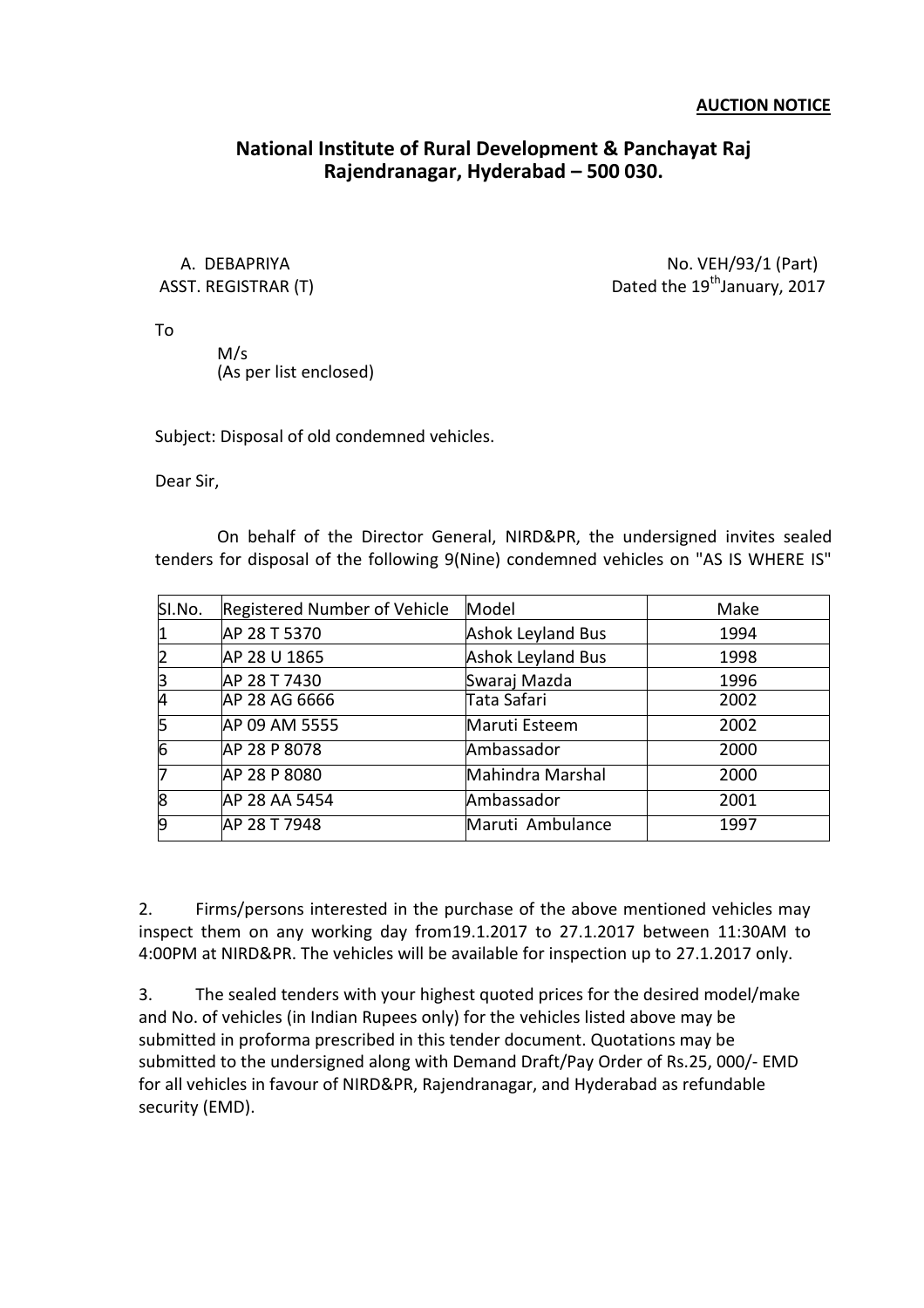## **National Institute of Rural Development & Panchayat Raj Rajendranagar, Hyderabad – 500 030.**

A. DEBAPRIYA No. VEH/93/1 (Part) ASST. REGISTRAR (T)  $Dated the 19<sup>th</sup> January, 2017$ 

To

M/s (As per list enclosed)

Subject: Disposal of old condemned vehicles.

Dear Sir,

On behalf of the Director General, NIRD&PR, the undersigned invites sealed tenders for disposal of the following 9(Nine) condemned vehicles on "AS IS WHERE IS"

| SI.No.   | Registered Number of Vehicle | Model                    | Make |
|----------|------------------------------|--------------------------|------|
|          |                              |                          |      |
|          | AP 28 T 5370                 | <b>Ashok Leyland Bus</b> | 1994 |
|          | AP 28 U 1865                 | <b>Ashok Leyland Bus</b> | 1998 |
|          | AP 28 T 7430                 | Swaraj Mazda             | 1996 |
|          | AP 28 AG 6666                | Tata Safari              | 2002 |
|          | AP 09 AM 5555                | Maruti Esteem            | 2002 |
| 6        | AP 28 P 8078                 | Ambassador               | 2000 |
|          | AP 28 P 8080                 | Mahindra Marshal         | 2000 |
| <b>R</b> | AP 28 AA 5454                | Ambassador               | 2001 |
| 9        | AP 28 T 7948                 | Maruti Ambulance         | 1997 |

2. Firms/persons interested in the purchase of the above mentioned vehicles may inspect them on any working day from19.1.2017 to 27.1.2017 between 11:30AM to 4:00PM at NIRD&PR. The vehicles will be available for inspection up to 27.1.2017 only.

3. The sealed tenders with your highest quoted prices for the desired model/make and No. of vehicles (in Indian Rupees only) for the vehicles listed above may be submitted in proforma prescribed in this tender document. Quotations may be submitted to the undersigned along with Demand Draft/Pay Order of Rs.25, 000/- EMD for all vehicles in favour of NIRD&PR, Rajendranagar, and Hyderabad as refundable security (EMD).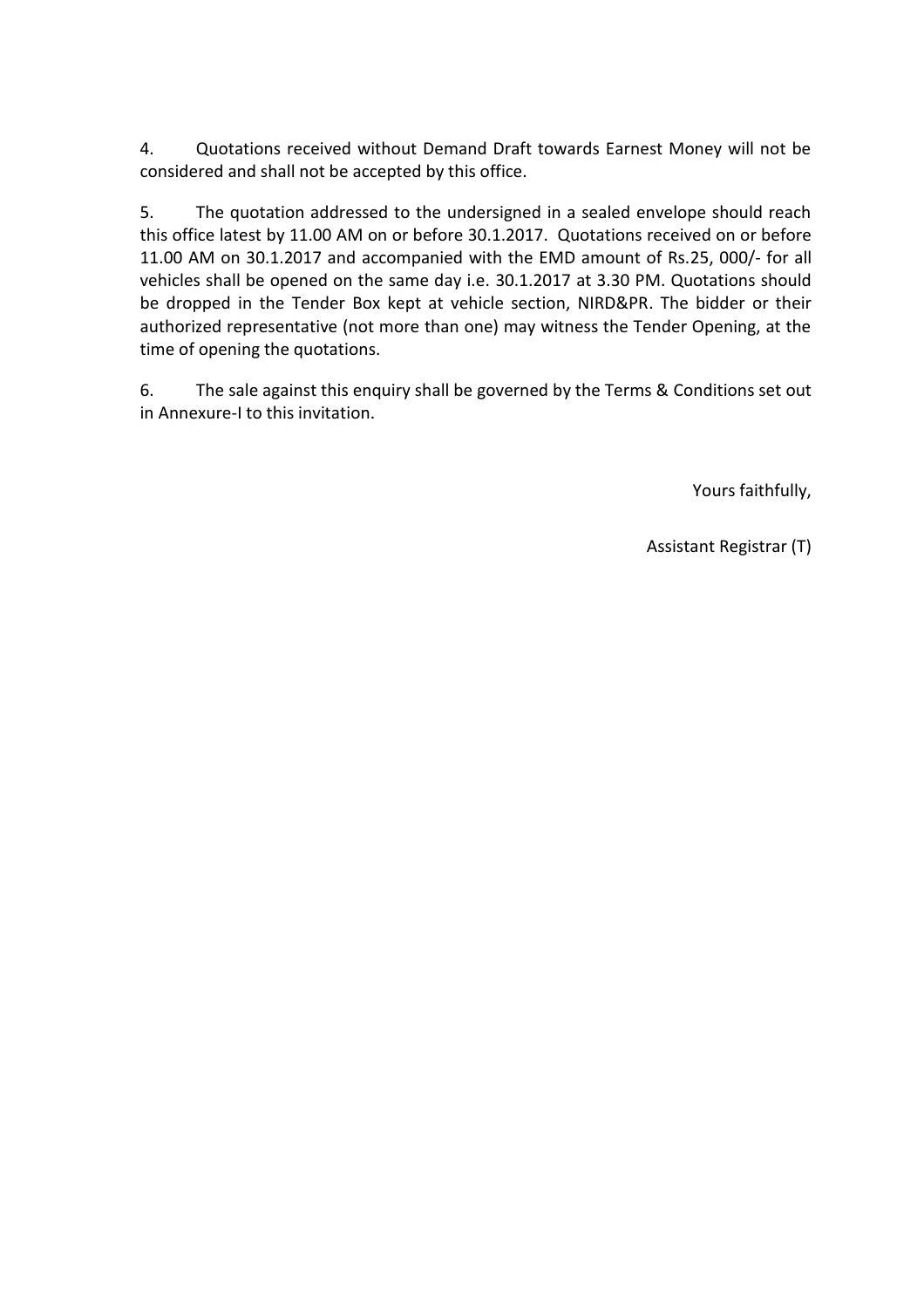4. Quotations received without Demand Draft towards Earnest Money will not be considered and shall not be accepted by this office.

5. The quotation addressed to the undersigned in a sealed envelope should reach this office latest by 11.00 AM on or before 30.1.2017. Quotations received on or before 11.00 AM on 30.1.2017 and accompanied with the EMD amount of Rs.25, 000/- for all vehicles shall be opened on the same day i.e. 30.1.2017 at 3.30 PM. Quotations should be dropped in the Tender Box kept at vehicle section, NIRD&PR. The bidder or their authorized representative (not more than one) may witness the Tender Opening, at the time of opening the quotations.

6. The sale against this enquiry shall be governed by the Terms & Conditions set out in Annexure-I to this invitation.

Yours faithfully,

Assistant Registrar (T)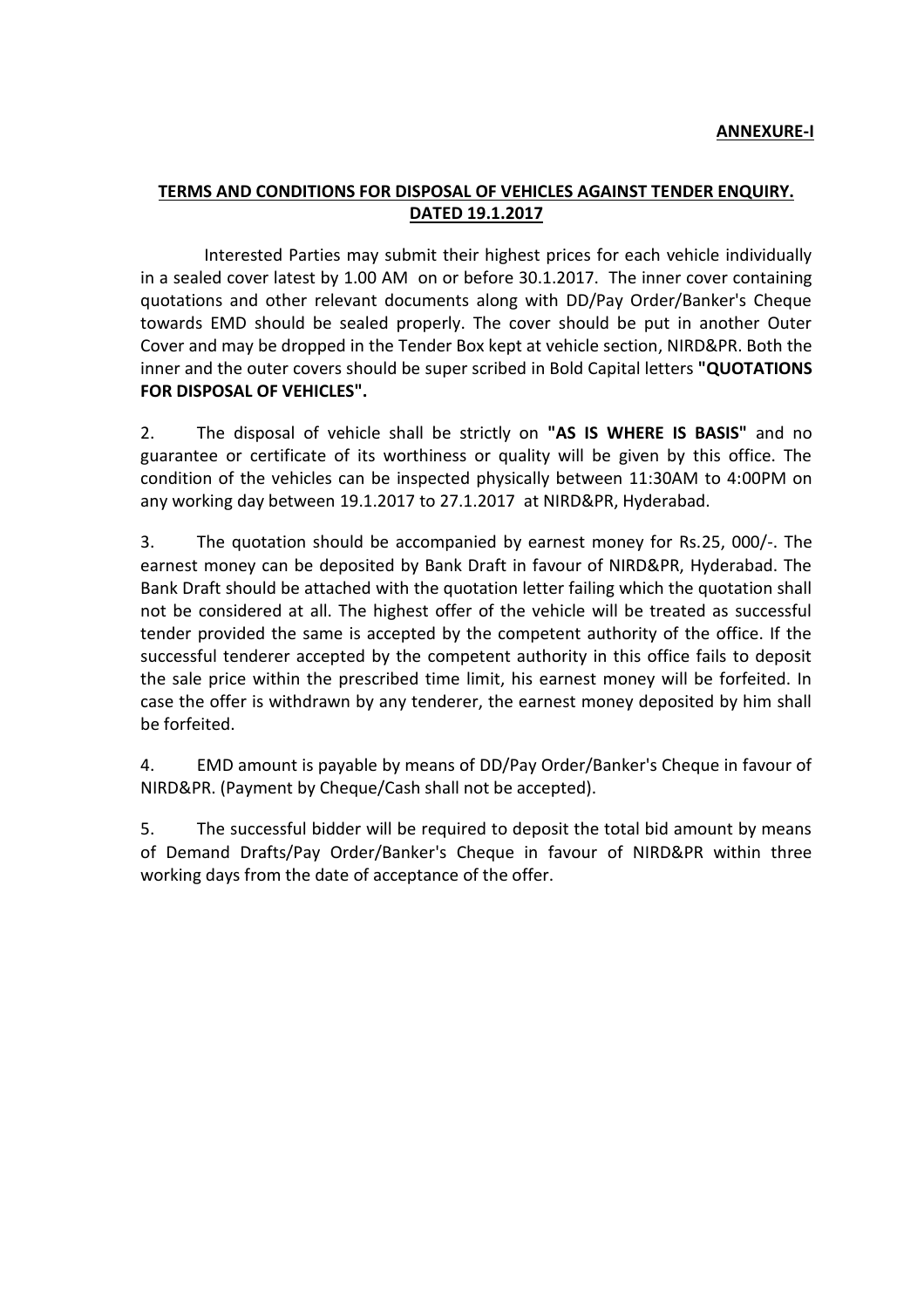## **TERMS AND CONDITIONS FOR DISPOSAL OF VEHICLES AGAINST TENDER ENQUIRY. DATED 19.1.2017**

Interested Parties may submit their highest prices for each vehicle individually in a sealed cover latest by 1.00 AM on or before 30.1.2017. The inner cover containing quotations and other relevant documents along with DD/Pay Order/Banker's Cheque towards EMD should be sealed properly. The cover should be put in another Outer Cover and may be dropped in the Tender Box kept at vehicle section, NIRD&PR. Both the inner and the outer covers should be super scribed in Bold Capital letters **"QUOTATIONS FOR DISPOSAL OF VEHICLES".**

2. The disposal of vehicle shall be strictly on **"AS IS WHERE IS BASIS"** and no guarantee or certificate of its worthiness or quality will be given by this office. The condition of the vehicles can be inspected physically between 11:30AM to 4:00PM on any working day between 19.1.2017 to 27.1.2017 at NIRD&PR, Hyderabad.

3. The quotation should be accompanied by earnest money for Rs.25, 000/-. The earnest money can be deposited by Bank Draft in favour of NIRD&PR, Hyderabad. The Bank Draft should be attached with the quotation letter failing which the quotation shall not be considered at all. The highest offer of the vehicle will be treated as successful tender provided the same is accepted by the competent authority of the office. If the successful tenderer accepted by the competent authority in this office fails to deposit the sale price within the prescribed time limit, his earnest money will be forfeited. In case the offer is withdrawn by any tenderer, the earnest money deposited by him shall be forfeited.

4. EMD amount is payable by means of DD/Pay Order/Banker's Cheque in favour of NIRD&PR. (Payment by Cheque/Cash shall not be accepted).

5. The successful bidder will be required to deposit the total bid amount by means of Demand Drafts/Pay Order/Banker's Cheque in favour of NIRD&PR within three working days from the date of acceptance of the offer.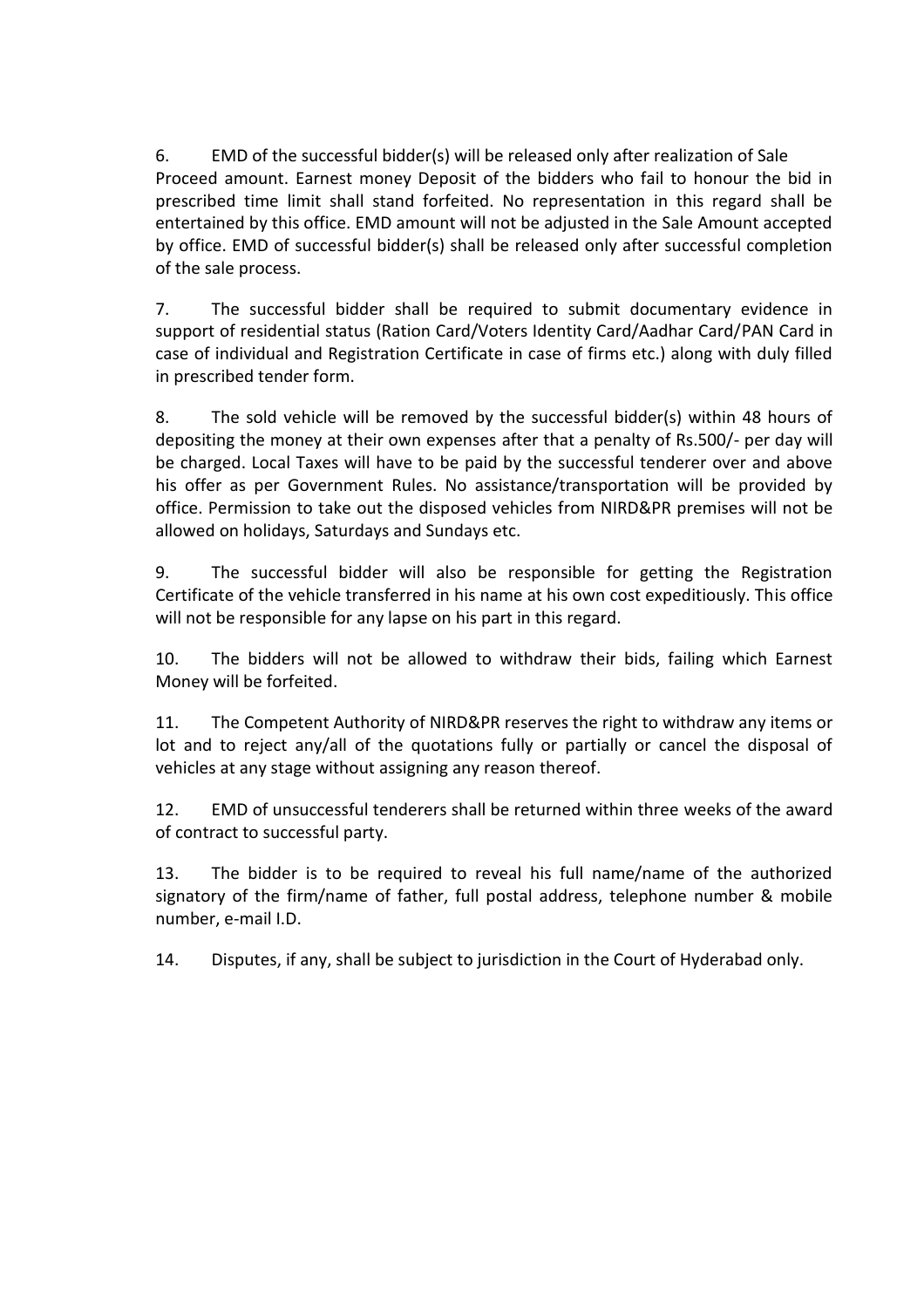6. EMD of the successful bidder(s) will be released only after realization of Sale Proceed amount. Earnest money Deposit of the bidders who fail to honour the bid in prescribed time limit shall stand forfeited. No representation in this regard shall be entertained by this office. EMD amount will not be adjusted in the Sale Amount accepted by office. EMD of successful bidder(s) shall be released only after successful completion of the sale process.

7. The successful bidder shall be required to submit documentary evidence in support of residential status (Ration Card/Voters Identity Card/Aadhar Card/PAN Card in case of individual and Registration Certificate in case of firms etc.) along with duly filled in prescribed tender form.

8. The sold vehicle will be removed by the successful bidder(s) within 48 hours of depositing the money at their own expenses after that a penalty of Rs.500/- per day will be charged. Local Taxes will have to be paid by the successful tenderer over and above his offer as per Government Rules. No assistance/transportation will be provided by office. Permission to take out the disposed vehicles from NIRD&PR premises will not be allowed on holidays, Saturdays and Sundays etc.

9. The successful bidder will also be responsible for getting the Registration Certificate of the vehicle transferred in his name at his own cost expeditiously. This office will not be responsible for any lapse on his part in this regard.

10. The bidders will not be allowed to withdraw their bids, failing which Earnest Money will be forfeited.

11. The Competent Authority of NIRD&PR reserves the right to withdraw any items or lot and to reject any/all of the quotations fully or partially or cancel the disposal of vehicles at any stage without assigning any reason thereof.

12. EMD of unsuccessful tenderers shall be returned within three weeks of the award of contract to successful party.

13. The bidder is to be required to reveal his full name/name of the authorized signatory of the firm/name of father, full postal address, telephone number & mobile number, e-mail I.D.

14. Disputes, if any, shall be subject to jurisdiction in the Court of Hyderabad only.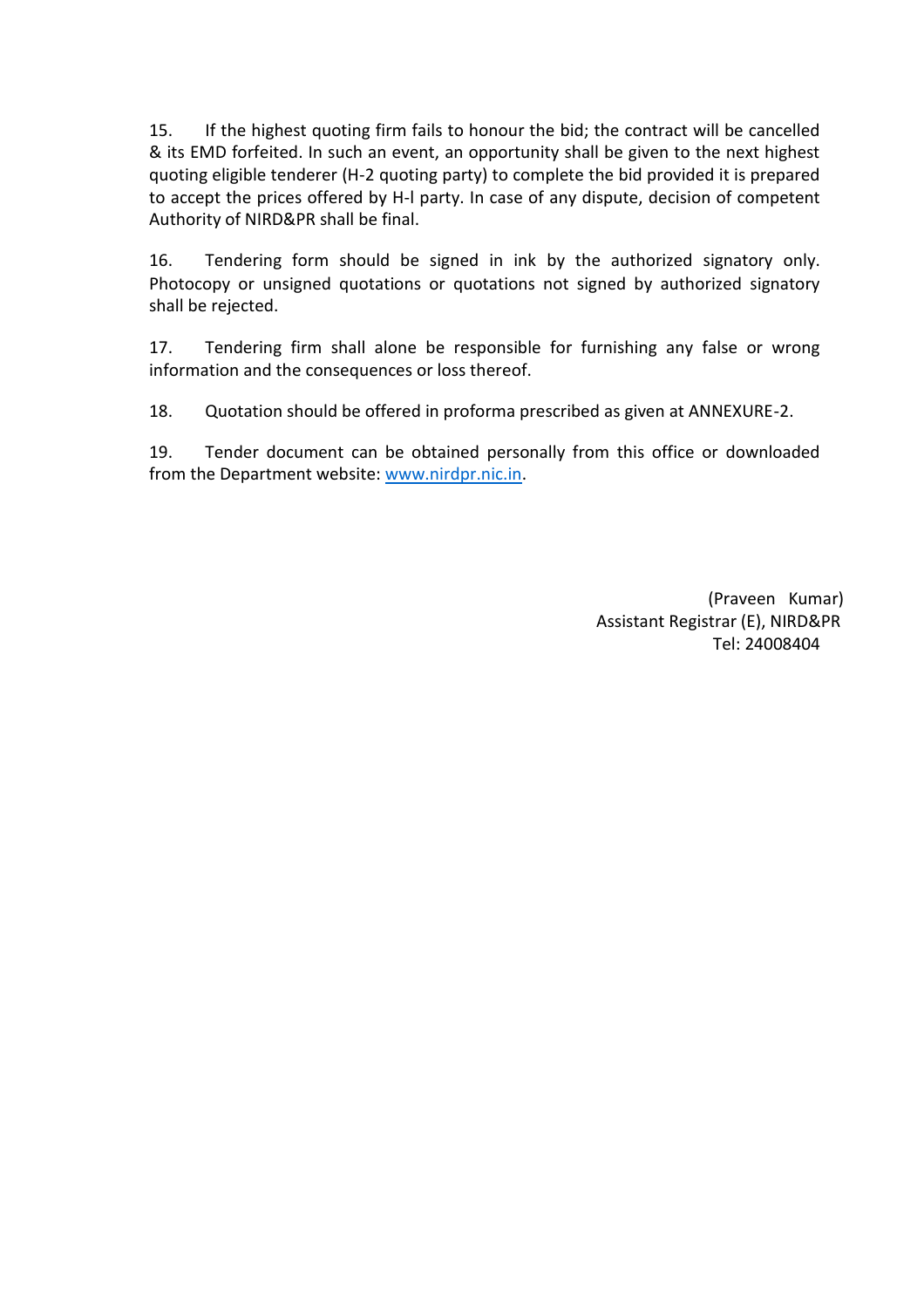15. If the highest quoting firm fails to honour the bid; the contract will be cancelled & its EMD forfeited. In such an event, an opportunity shall be given to the next highest quoting eligible tenderer (H-2 quoting party) to complete the bid provided it is prepared to accept the prices offered by H-l party. In case of any dispute, decision of competent Authority of NIRD&PR shall be final.

16. Tendering form should be signed in ink by the authorized signatory only. Photocopy or unsigned quotations or quotations not signed by authorized signatory shall be rejected.

17. Tendering firm shall alone be responsible for furnishing any false or wrong information and the consequences or loss thereof.

18. Quotation should be offered in proforma prescribed as given at ANNEXURE-2.

19. Tender document can be obtained personally from this office or downloaded from the Department website: [www.nirdpr.nic.in.](http://www.nirdpr.nic.in/)

> (Praveen Kumar) Assistant Registrar (E), NIRD&PR Tel: 24008404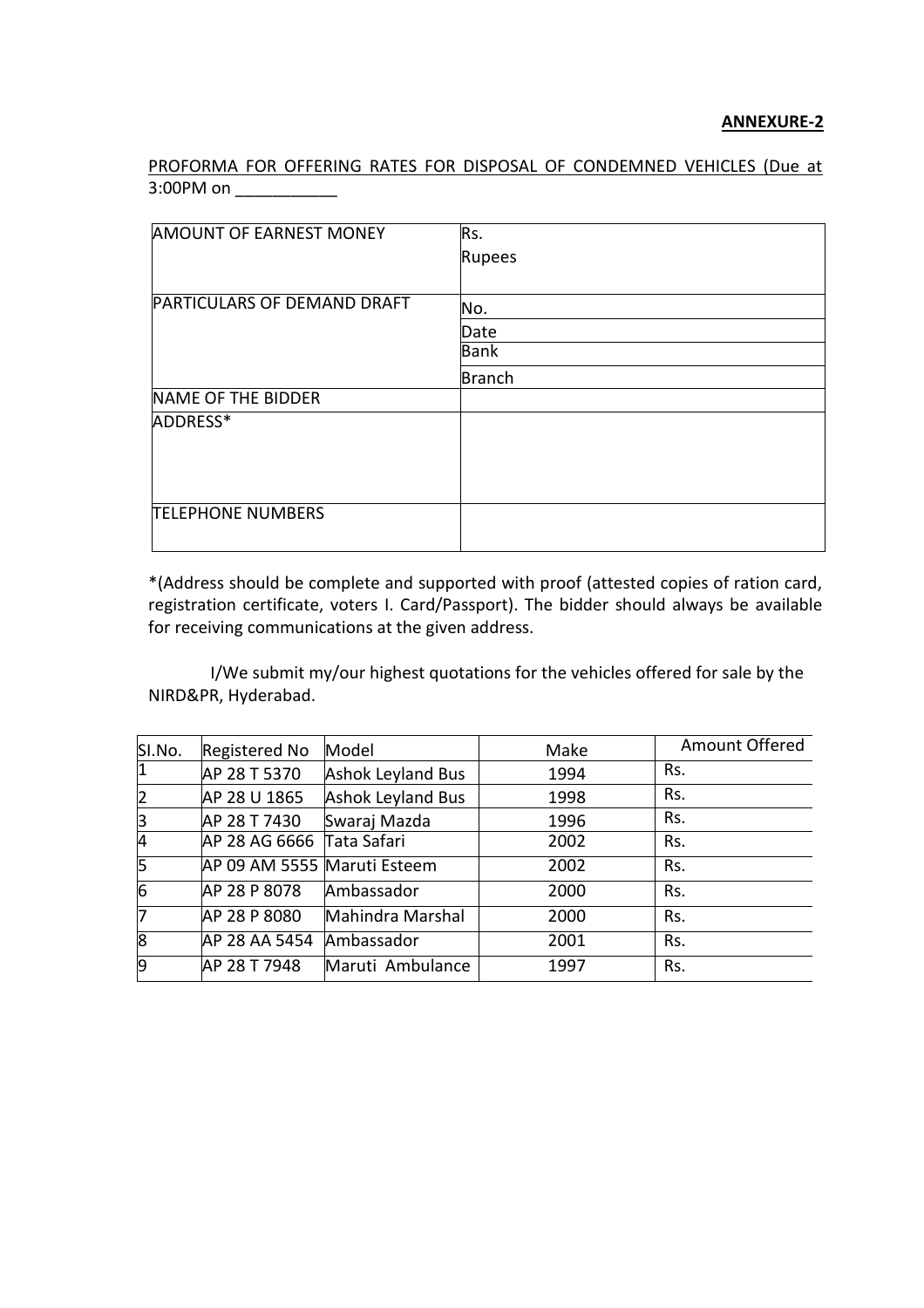PROFORMA FOR OFFERING RATES FOR DISPOSAL OF CONDEMNED VEHICLES (Due at 3:00PM on \_\_\_\_\_\_\_\_\_\_\_\_

| <b>AMOUNT OF EARNEST MONEY</b> | Rs.           |
|--------------------------------|---------------|
|                                | Rupees        |
|                                |               |
| PARTICULARS OF DEMAND DRAFT    | No.           |
|                                | Date          |
|                                | Bank          |
|                                | <b>Branch</b> |
| NAME OF THE BIDDER             |               |
| ADDRESS*                       |               |
|                                |               |
|                                |               |
|                                |               |
| <b>TELEPHONE NUMBERS</b>       |               |
|                                |               |
|                                |               |

\*(Address should be complete and supported with proof (attested copies of ration card, registration certificate, voters I. Card/Passport). The bidder should always be available for receiving communications at the given address.

I/We submit my/our highest quotations for the vehicles offered for sale by the NIRD&PR, Hyderabad.

| SI.No.         | <b>Registered No</b>        | Model                    | Make | Amount Offered |
|----------------|-----------------------------|--------------------------|------|----------------|
| $\overline{1}$ | AP 28 T 5370                | Ashok Leyland Bus        | 1994 | Rs.            |
| $\overline{2}$ | AP 28 U 1865                | <b>Ashok Leyland Bus</b> | 1998 | Rs.            |
| 3              | AP 28 T 7430                | Swaraj Mazda             | 1996 | Rs.            |
| $\overline{4}$ | AP 28 AG 6666 Tata Safari   |                          | 2002 | Rs.            |
| 5              | AP 09 AM 5555 Maruti Esteem |                          | 2002 | Rs.            |
| $\overline{6}$ | AP 28 P 8078                | Ambassador               | 2000 | Rs.            |
| 7              | AP 28 P 8080                | Mahindra Marshal         | 2000 | Rs.            |
| 8              | AP 28 AA 5454               | Ambassador               | 2001 | Rs.            |
| 9              | AP 28 T 7948                | Maruti Ambulance         | 1997 | Rs.            |